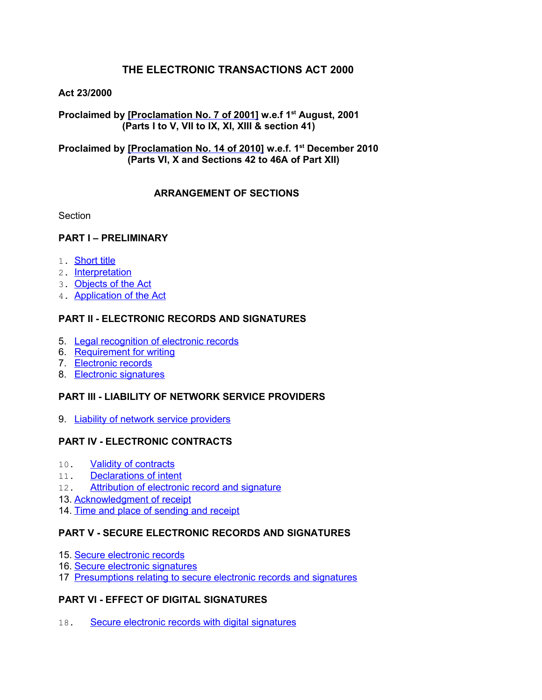# **THE ELECTRONIC TRANSACTIONS ACT 2000**

# **Act 23/2000**

**Proclaimed by [Proclamation No. 7 of 2001] w.e.f 1st August, 2001 (Parts I to V, VII to IX, XI, XIII & section 41)**

# **Proclaimed by [Proclamation No. 14 of 2010] w.e.f. 1st December 2010 (Parts VI, X and Sections 42 to 46A of Part XII)**

# **ARRANGEMENT OF SECTIONS**

Section

# **PART I – PRELIMINARY**

- 1. [Short title](#page-2-1)
- 2. [Interpretation](#page-2-0)
- 3. [Objects of the Act](#page-5-1)
- 4. [Application of the Act](#page-5-0)

# **PART II - ELECTRONIC RECORDS AND SIGNATURES**

- 5. [Legal recognition of electronic records](#page-6-2)
- 6. [Requirement for writing](#page-6-1)
- 7. [Electronic records](#page-6-0)
- 8. [Electronic signatures](#page-7-1)

# **PART III - LIABILITY OF NETWORK SERVICE PROVIDERS**

9. [Liability of network service providers](#page-7-0)

# **PART IV - ELECTRONIC CONTRACTS**

- 10. [Validity of contracts](#page-8-2)
- 11. [Declarations of intent](#page-8-1)
- 12. [Attribution of electronic record and signature](#page-8-0)
- 13. [Acknowledgment of receipt](#page-9-0)
- 14. [Time and place of sending and receipt](#page-10-0)

# **PART V - SECURE ELECTRONIC RECORDS AND SIGNATURES**

- 15. [Secure electronic records](#page-11-0)
- 16. [Secure electronic signatures](#page-12-1)
- 17 [Presumptions relating to secure electronic records and signatures](#page-12-0)

# **PART VI - EFFECT OF DIGITAL SIGNATURES**

18. [Secure electronic records with digital signatures](#page-13-0)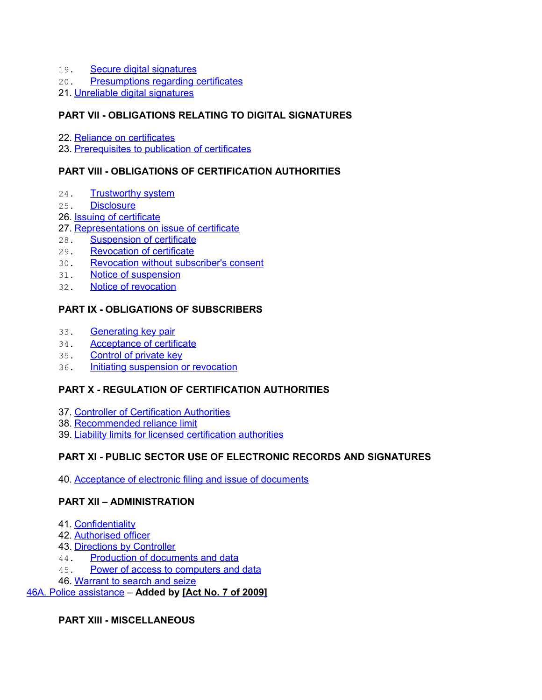- 19. [Secure digital signatures](#page-13-3)
- 20. [Presumptions regarding certificates](#page-13-2)
- 21. [Unreliable digital signatures](#page-13-1)

# **PART VII - OBLIGATIONS RELATING TO DIGITAL SIGNATURES**

- 22. [Reliance on certificates](#page-14-3)
- 23. [Prerequisites to publication of certificates](#page-14-2)

# **PART VIII - OBLIGATIONS OF CERTIFICATION AUTHORITIES**

- 24. [Trustworthy system](#page-14-1)
- 25. [Disclosure](#page-14-0)
- 26. **[Issuing of certificate](#page-15-0)**
- 27. [Representations on issue of certificate](#page-16-2)
- 28. [Suspension of certificate](#page-16-1)
- 29. [Revocation of certificate](#page-16-0)
- 30. [Revocation without subscriber's consent](#page-17-3)
- 31. [Notice of suspension](#page-17-2)
- 32. [Notice of revocation](#page-17-1)

# **PART IX - OBLIGATIONS OF SUBSCRIBERS**

- 33. [Generating key pair](#page-17-0)
- 34. [Acceptance of certificate](#page-18-3)
- 35. [Control of private key](#page-18-2)
- 36. [Initiating suspension or revocation](#page-18-1)

# **PART X - REGULATION OF CERTIFICATION AUTHORITIES**

- 37. [Controller of Certification Authorities](#page-18-0)
- 38. [Recommended reliance limit](#page-19-2)
- 39. [Liability limits for licensed certification authorities](#page-19-1)

# **PART XI - PUBLIC SECTOR USE OF ELECTRONIC RECORDS AND SIGNATURES**

40. [Acceptance of electronic filing and issue of documents](#page-19-0)

# **PART XII – ADMINISTRATION**

- 41. [Confidentiality](#page-20-0)
- 42. [Authorised officer](#page-21-3)
- 43. [Directions by Controller](#page-21-2)
- 44. [Production of documents and data](#page-21-1)
- 45. [Power of access to computers and data](#page-21-0)
- 46. [Warrant to search and seize](#page-22-0)

[46A. Police assistance](#page-23-0) – **Added by [\[Act No. 7 of 2009\]](http://www.gov.mu/scourt/doc/showDoc.do?dk=Act%20No.%207%20of%202009&dt=A)**

**PART XIII - MISCELLANEOUS**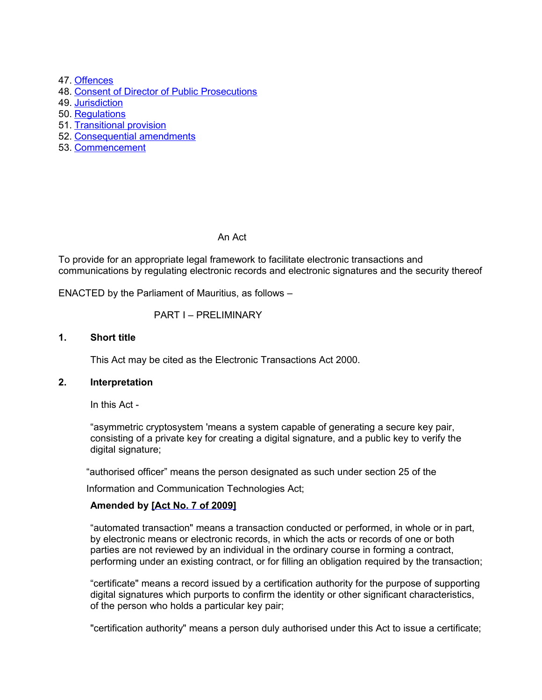47. [Offences](#page-23-1)

- 48. [Consent of Director of Public Prosecutions](#page-24-2)
- 49. [Jurisdiction](#page-24-1)
- 50. [Regulations](#page-24-0)
- 51. [Transitional provision](#page-25-1)
- 52. [Consequential amendments](#page-25-0)
- 53. [Commencement](#page-26-0)

An Act

To provide for an appropriate legal framework to facilitate electronic transactions and communications by regulating electronic records and electronic signatures and the security thereof

ENACTED by the Parliament of Mauritius, as follows –

#### PART I – PRELIMINARY

#### **1. Short title**

<span id="page-2-1"></span><span id="page-2-0"></span>This Act may be cited as the Electronic Transactions Act 2000.

#### **2. Interpretation**

In this Act -

"asymmetric cryptosystem 'means a system capable of generating a secure key pair, consisting of a private key for creating a digital signature, and a public key to verify the digital signature;

"authorised officer" means the person designated as such under section 25 of the

Information and Communication Technologies Act;

# **Amended by [Act No. 7 of 2009]**

"automated transaction" means a transaction conducted or performed, in whole or in part, by electronic means or electronic records, in which the acts or records of one or both parties are not reviewed by an individual in the ordinary course in forming a contract, performing under an existing contract, or for filling an obligation required by the transaction;

"certificate" means a record issued by a certification authority for the purpose of supporting digital signatures which purports to confirm the identity or other significant characteristics, of the person who holds a particular key pair;

"certification authority" means a person duly authorised under this Act to issue a certificate;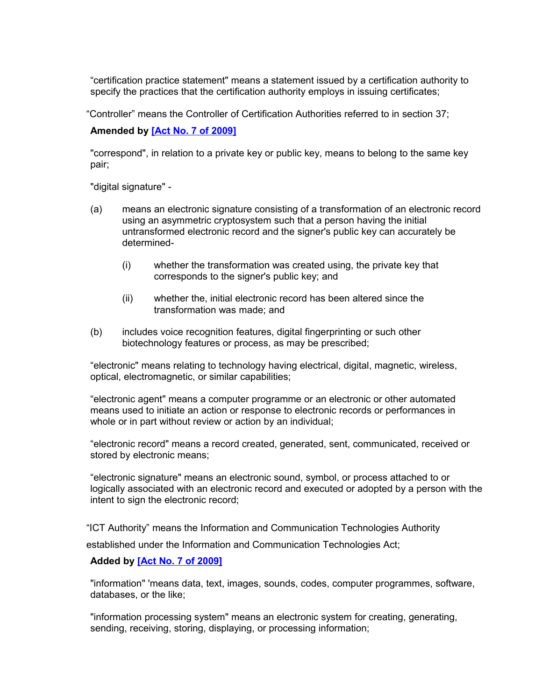"certification practice statement" means a statement issued by a certification authority to specify the practices that the certification authority employs in issuing certificates;

"Controller" means the Controller of Certification Authorities referred to in section 37;

#### **Amended by [Act No. 7 of 2009]**

"correspond", in relation to a private key or public key, means to belong to the same key pair;

"digital signature" -

- (a) means an electronic signature consisting of a transformation of an electronic record using an asymmetric cryptosystem such that a person having the initial untransformed electronic record and the signer's public key can accurately be determined-
	- (i) whether the transformation was created using, the private key that corresponds to the signer's public key; and
	- (ii) whether the, initial electronic record has been altered since the transformation was made; and
- (b) includes voice recognition features, digital fingerprinting or such other biotechnology features or process, as may be prescribed;

"electronic" means relating to technology having electrical, digital, magnetic, wireless, optical, electromagnetic, or similar capabilities;

"electronic agent" means a computer programme or an electronic or other automated means used to initiate an action or response to electronic records or performances in whole or in part without review or action by an individual;

"electronic record" means a record created, generated, sent, communicated, received or stored by electronic means;

"electronic signature" means an electronic sound, symbol, or process attached to or logically associated with an electronic record and executed or adopted by a person with the intent to sign the electronic record;

"ICT Authority" means the Information and Communication Technologies Authority

established under the Information and Communication Technologies Act;

#### **Added by [Act No. 7 of 2009]**

"information" 'means data, text, images, sounds, codes, computer programmes, software, databases, or the like;

"information processing system" means an electronic system for creating, generating, sending, receiving, storing, displaying, or processing information;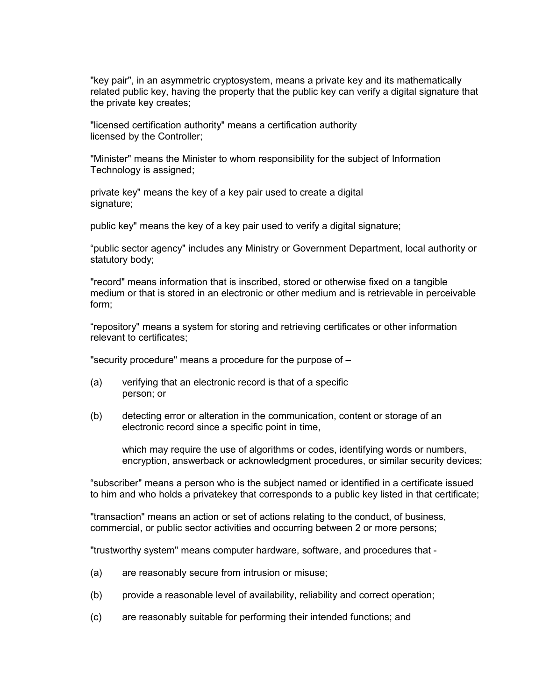"key pair", in an asymmetric cryptosystem, means a private key and its mathematically related public key, having the property that the public key can verify a digital signature that the private key creates;

"licensed certification authority" means a certification authority licensed by the Controller;

"Minister" means the Minister to whom responsibility for the subject of Information Technology is assigned;

private key" means the key of a key pair used to create a digital signature;

public key" means the key of a key pair used to verify a digital signature;

"public sector agency" includes any Ministry or Government Department, local authority or statutory body;

"record" means information that is inscribed, stored or otherwise fixed on a tangible medium or that is stored in an electronic or other medium and is retrievable in perceivable form;

"repository" means a system for storing and retrieving certificates or other information relevant to certificates;

"security procedure" means a procedure for the purpose of –

- (a) verifying that an electronic record is that of a specific person; or
- (b) detecting error or alteration in the communication, content or storage of an electronic record since a specific point in time,

which may require the use of algorithms or codes, identifying words or numbers, encryption, answerback or acknowledgment procedures, or similar security devices;

"subscriber" means a person who is the subject named or identified in a certificate issued to him and who holds a privatekey that corresponds to a public key listed in that certificate;

"transaction" means an action or set of actions relating to the conduct, of business, commercial, or public sector activities and occurring between 2 or more persons;

"trustworthy system" means computer hardware, software, and procedures that -

- (a) are reasonably secure from intrusion or misuse;
- (b) provide a reasonable level of availability, reliability and correct operation;
- (c) are reasonably suitable for performing their intended functions; and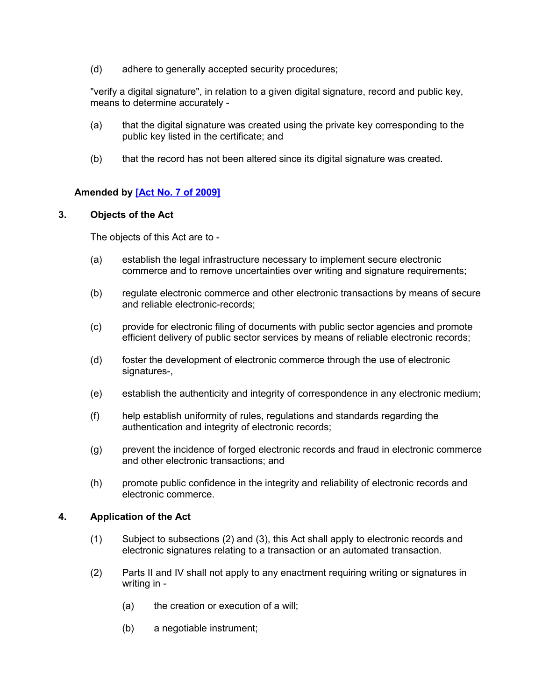(d) adhere to generally accepted security procedures;

"verify a digital signature", in relation to a given digital signature, record and public key, means to determine accurately -

- (a) that the digital signature was created using the private key corresponding to the public key listed in the certificate; and
- (b) that the record has not been altered since its digital signature was created.

# **Amended by [Act No. 7 of 2009]**

#### **3. Objects of the Act**

<span id="page-5-1"></span>The objects of this Act are to -

- (a) establish the legal infrastructure necessary to implement secure electronic commerce and to remove uncertainties over writing and signature requirements;
- (b) regulate electronic commerce and other electronic transactions by means of secure and reliable electronic-records;
- (c) provide for electronic filing of documents with public sector agencies and promote efficient delivery of public sector services by means of reliable electronic records;
- (d) foster the development of electronic commerce through the use of electronic signatures-,
- (e) establish the authenticity and integrity of correspondence in any electronic medium;
- (f) help establish uniformity of rules, regulations and standards regarding the authentication and integrity of electronic records;
- (g) prevent the incidence of forged electronic records and fraud in electronic commerce and other electronic transactions; and
- (h) promote public confidence in the integrity and reliability of electronic records and electronic commerce.

# **4. Application of the Act**

- <span id="page-5-0"></span>(1) Subject to subsections (2) and (3), this Act shall apply to electronic records and electronic signatures relating to a transaction or an automated transaction.
- (2) Parts II and IV shall not apply to any enactment requiring writing or signatures in writing in -
	- (a) the creation or execution of a will;
	- (b) a negotiable instrument;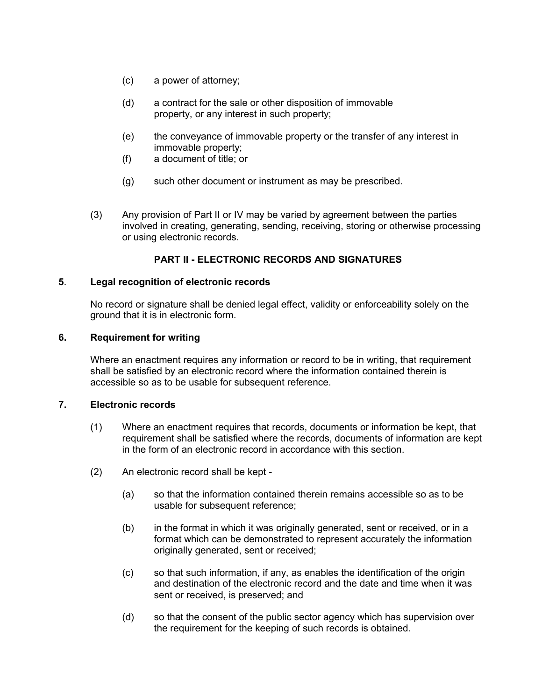- (c) a power of attorney;
- (d) a contract for the sale or other disposition of immovable property, or any interest in such property;
- (e) the conveyance of immovable property or the transfer of any interest in immovable property;
- (f) a document of title; or
- (g) such other document or instrument as may be prescribed.
- (3) Any provision of Part II or IV may be varied by agreement between the parties involved in creating, generating, sending, receiving, storing or otherwise processing or using electronic records.

# **PART II - ELECTRONIC RECORDS AND SIGNATURES**

#### **5**. **Legal recognition of electronic records**

<span id="page-6-2"></span>No record or signature shall be denied legal effect, validity or enforceability solely on the ground that it is in electronic form.

#### **6. Requirement for writing**

<span id="page-6-1"></span>Where an enactment requires any information or record to be in writing, that requirement shall be satisfied by an electronic record where the information contained therein is accessible so as to be usable for subsequent reference.

#### **7. Electronic records**

- <span id="page-6-0"></span>(1) Where an enactment requires that records, documents or information be kept, that requirement shall be satisfied where the records, documents of information are kept in the form of an electronic record in accordance with this section.
- (2) An electronic record shall be kept
	- (a) so that the information contained therein remains accessible so as to be usable for subsequent reference;
	- (b) in the format in which it was originally generated, sent or received, or in a format which can be demonstrated to represent accurately the information originally generated, sent or received;
	- (c) so that such information, if any, as enables the identification of the origin and destination of the electronic record and the date and time when it was sent or received, is preserved; and
	- (d) so that the consent of the public sector agency which has supervision over the requirement for the keeping of such records is obtained.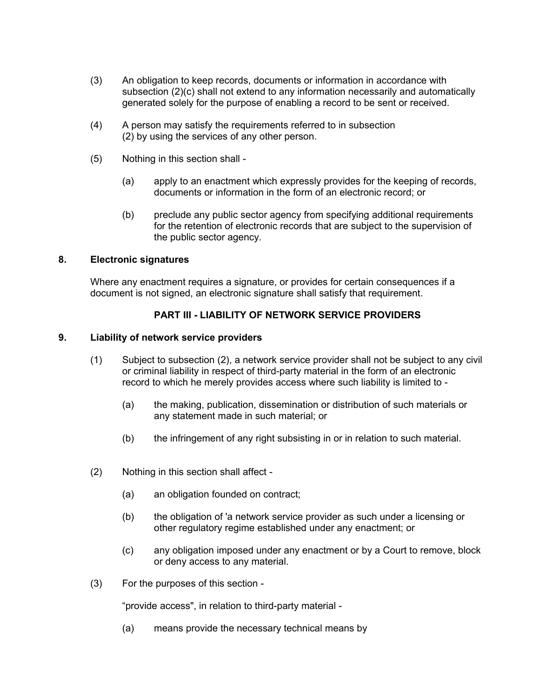- (3) An obligation to keep records, documents or information in accordance with subsection (2)(c) shall not extend to any information necessarily and automatically generated solely for the purpose of enabling a record to be sent or received.
- (4) A person may satisfy the requirements referred to in subsection (2) by using the services of any other person.
- (5) Nothing in this section shall
	- (a) apply to an enactment which expressly provides for the keeping of records, documents or information in the form of an electronic record; or
	- (b) preclude any public sector agency from specifying additional requirements for the retention of electronic records that are subject to the supervision of the public sector agency.

#### **8. Electronic signatures**

<span id="page-7-1"></span>Where any enactment requires a signature, or provides for certain consequences if a document is not signed, an electronic signature shall satisfy that requirement.

# **PART III - LIABILITY OF NETWORK SERVICE PROVIDERS**

#### **9. Liability of network service providers**

- <span id="page-7-0"></span>(1) Subject to subsection (2), a network service provider shall not be subject to any civil or criminal liability in respect of third-party material in the form of an electronic record to which he merely provides access where such liability is limited to -
	- (a) the making, publication, dissemination or distribution of such materials or any statement made in such material; or
	- (b) the infringement of any right subsisting in or in relation to such material.
- (2) Nothing in this section shall affect
	- (a) an obligation founded on contract;
	- (b) the obligation of 'a network service provider as such under a licensing or other regulatory regime established under any enactment; or
	- (c) any obligation imposed under any enactment or by a Court to remove, block or deny access to any material.
- (3) For the purposes of this section -

"provide access", in relation to third-party material -

(a) means provide the necessary technical means by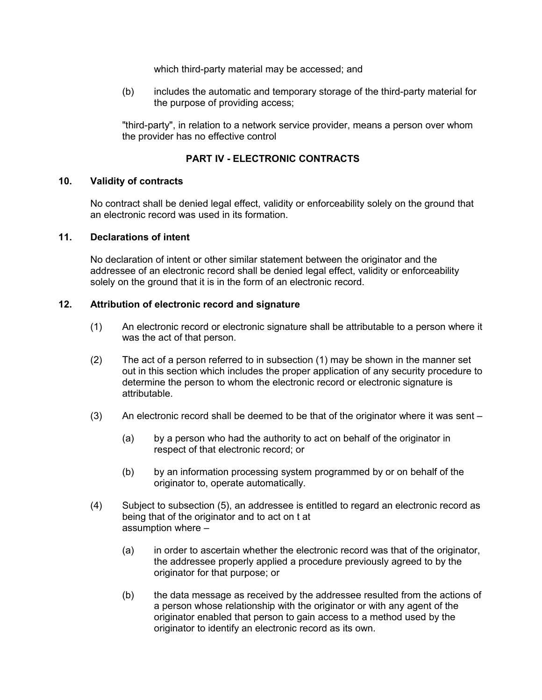which third-party material may be accessed; and

(b) includes the automatic and temporary storage of the third-party material for the purpose of providing access;

"third-party", in relation to a network service provider, means a person over whom the provider has no effective control

#### **PART IV - ELECTRONIC CONTRACTS**

#### **10. Validity of contracts**

<span id="page-8-2"></span>No contract shall be denied legal effect, validity or enforceability solely on the ground that an electronic record was used in its formation.

#### **11. Declarations of intent**

<span id="page-8-1"></span>No declaration of intent or other similar statement between the originator and the addressee of an electronic record shall be denied legal effect, validity or enforceability solely on the ground that it is in the form of an electronic record.

#### **12. Attribution of electronic record and signature**

- <span id="page-8-0"></span>(1) An electronic record or electronic signature shall be attributable to a person where it was the act of that person.
- (2) The act of a person referred to in subsection (1) may be shown in the manner set out in this section which includes the proper application of any security procedure to determine the person to whom the electronic record or electronic signature is attributable.
- (3) An electronic record shall be deemed to be that of the originator where it was sent
	- (a) by a person who had the authority to act on behalf of the originator in respect of that electronic record; or
	- (b) by an information processing system programmed by or on behalf of the originator to, operate automatically.
- (4) Subject to subsection (5), an addressee is entitled to regard an electronic record as being that of the originator and to act on t at assumption where –
	- (a) in order to ascertain whether the electronic record was that of the originator, the addressee properly applied a procedure previously agreed to by the originator for that purpose; or
	- (b) the data message as received by the addressee resulted from the actions of a person whose relationship with the originator or with any agent of the originator enabled that person to gain access to a method used by the originator to identify an electronic record as its own.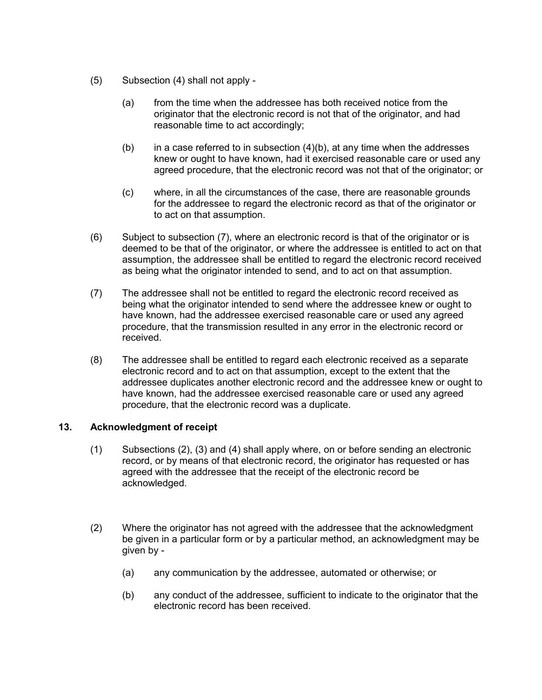- (5) Subsection (4) shall not apply
	- (a) from the time when the addressee has both received notice from the originator that the electronic record is not that of the originator, and had reasonable time to act accordingly;
	- (b) in a case referred to in subsection  $(4)(b)$ , at any time when the addresses knew or ought to have known, had it exercised reasonable care or used any agreed procedure, that the electronic record was not that of the originator; or
	- (c) where, in all the circumstances of the case, there are reasonable grounds for the addressee to regard the electronic record as that of the originator or to act on that assumption.
- (6) Subject to subsection (7), where an electronic record is that of the originator or is deemed to be that of the originator, or where the addressee is entitled to act on that assumption, the addressee shall be entitled to regard the electronic record received as being what the originator intended to send, and to act on that assumption.
- (7) The addressee shall not be entitled to regard the electronic record received as being what the originator intended to send where the addressee knew or ought to have known, had the addressee exercised reasonable care or used any agreed procedure, that the transmission resulted in any error in the electronic record or received.
- (8) The addressee shall be entitled to regard each electronic received as a separate electronic record and to act on that assumption, except to the extent that the addressee duplicates another electronic record and the addressee knew or ought to have known, had the addressee exercised reasonable care or used any agreed procedure, that the electronic record was a duplicate.

# **13. Acknowledgment of receipt**

- <span id="page-9-0"></span>(1) Subsections (2), (3) and (4) shall apply where, on or before sending an electronic record, or by means of that electronic record, the originator has requested or has agreed with the addressee that the receipt of the electronic record be acknowledged.
- (2) Where the originator has not agreed with the addressee that the acknowledgment be given in a particular form or by a particular method, an acknowledgment may be given by -
	- (a) any communication by the addressee, automated or otherwise; or
	- (b) any conduct of the addressee, sufficient to indicate to the originator that the electronic record has been received.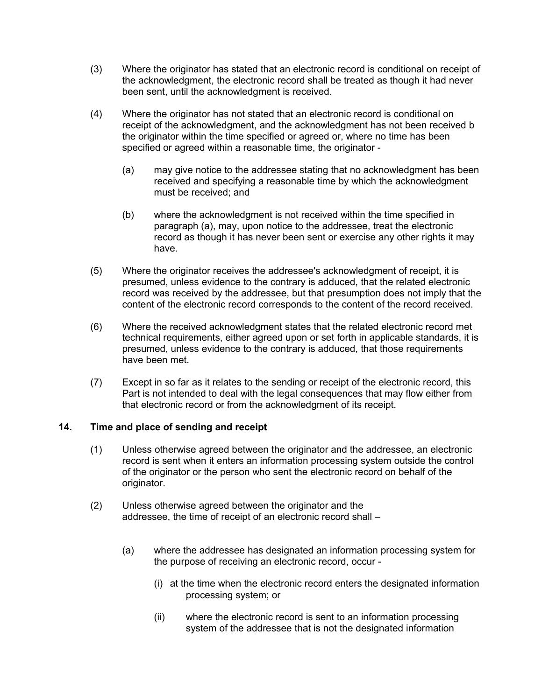- (3) Where the originator has stated that an electronic record is conditional on receipt of the acknowledgment, the electronic record shall be treated as though it had never been sent, until the acknowledgment is received.
- (4) Where the originator has not stated that an electronic record is conditional on receipt of the acknowledgment, and the acknowledgment has not been received b the originator within the time specified or agreed or, where no time has been specified or agreed within a reasonable time, the originator -
	- (a) may give notice to the addressee stating that no acknowledgment has been received and specifying a reasonable time by which the acknowledgment must be received; and
	- (b) where the acknowledgment is not received within the time specified in paragraph (a), may, upon notice to the addressee, treat the electronic record as though it has never been sent or exercise any other rights it may have.
- (5) Where the originator receives the addressee's acknowledgment of receipt, it is presumed, unless evidence to the contrary is adduced, that the related electronic record was received by the addressee, but that presumption does not imply that the content of the electronic record corresponds to the content of the record received.
- (6) Where the received acknowledgment states that the related electronic record met technical requirements, either agreed upon or set forth in applicable standards, it is presumed, unless evidence to the contrary is adduced, that those requirements have been met.
- (7) Except in so far as it relates to the sending or receipt of the electronic record, this Part is not intended to deal with the legal consequences that may flow either from that electronic record or from the acknowledgment of its receipt.

# **14. Time and place of sending and receipt**

- <span id="page-10-0"></span>(1) Unless otherwise agreed between the originator and the addressee, an electronic record is sent when it enters an information processing system outside the control of the originator or the person who sent the electronic record on behalf of the originator.
- (2) Unless otherwise agreed between the originator and the addressee, the time of receipt of an electronic record shall –
	- (a) where the addressee has designated an information processing system for the purpose of receiving an electronic record, occur -
		- (i) at the time when the electronic record enters the designated information processing system; or
		- (ii) where the electronic record is sent to an information processing system of the addressee that is not the designated information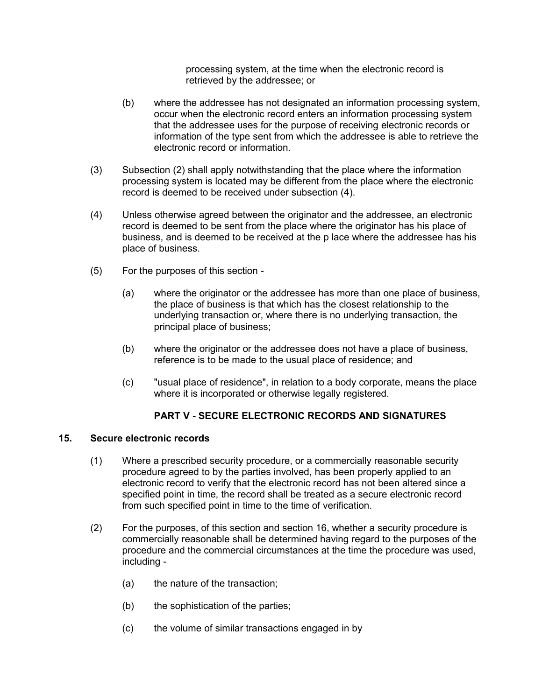processing system, at the time when the electronic record is retrieved by the addressee; or

- (b) where the addressee has not designated an information processing system, occur when the electronic record enters an information processing system that the addressee uses for the purpose of receiving electronic records or information of the type sent from which the addressee is able to retrieve the electronic record or information.
- (3) Subsection (2) shall apply notwithstanding that the place where the information processing system is located may be different from the place where the electronic record is deemed to be received under subsection (4).
- (4) Unless otherwise agreed between the originator and the addressee, an electronic record is deemed to be sent from the place where the originator has his place of business, and is deemed to be received at the p lace where the addressee has his place of business.
- (5) For the purposes of this section
	- (a) where the originator or the addressee has more than one place of business, the place of business is that which has the closest relationship to the underlying transaction or, where there is no underlying transaction, the principal place of business;
	- (b) where the originator or the addressee does not have a place of business, reference is to be made to the usual place of residence; and
	- (c) "usual place of residence", in relation to a body corporate, means the place where it is incorporated or otherwise legally registered.

# **PART V - SECURE ELECTRONIC RECORDS AND SIGNATURES**

#### **15. Secure electronic records**

- <span id="page-11-0"></span>(1) Where a prescribed security procedure, or a commercially reasonable security procedure agreed to by the parties involved, has been properly applied to an electronic record to verify that the electronic record has not been altered since a specified point in time, the record shall be treated as a secure electronic record from such specified point in time to the time of verification.
- (2) For the purposes, of this section and section 16, whether a security procedure is commercially reasonable shall be determined having regard to the purposes of the procedure and the commercial circumstances at the time the procedure was used, including -
	- (a) the nature of the transaction;
	- (b) the sophistication of the parties;
	- (c) the volume of similar transactions engaged in by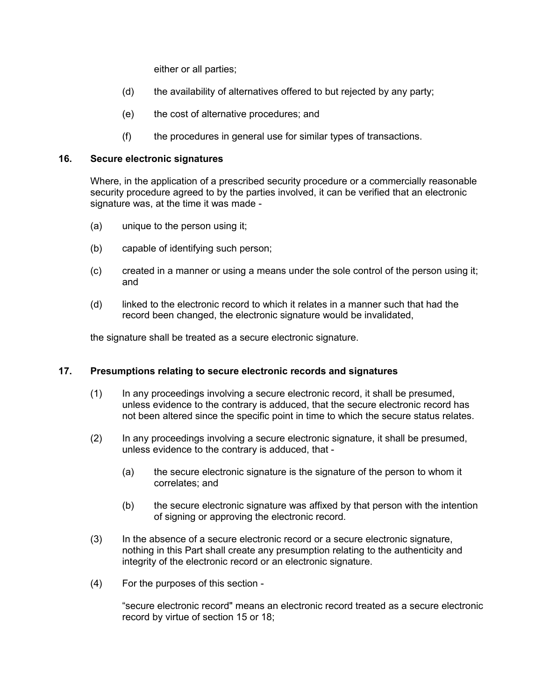either or all parties;

- (d) the availability of alternatives offered to but rejected by any party;
- (e) the cost of alternative procedures; and
- (f) the procedures in general use for similar types of transactions.

#### **16. Secure electronic signatures**

<span id="page-12-1"></span>Where, in the application of a prescribed security procedure or a commercially reasonable security procedure agreed to by the parties involved, it can be verified that an electronic signature was, at the time it was made -

- (a) unique to the person using it;
- (b) capable of identifying such person;
- (c) created in a manner or using a means under the sole control of the person using it; and
- (d) linked to the electronic record to which it relates in a manner such that had the record been changed, the electronic signature would be invalidated,

the signature shall be treated as a secure electronic signature.

# **17. Presumptions relating to secure electronic records and signatures**

- <span id="page-12-0"></span>(1) In any proceedings involving a secure electronic record, it shall be presumed, unless evidence to the contrary is adduced, that the secure electronic record has not been altered since the specific point in time to which the secure status relates.
- (2) In any proceedings involving a secure electronic signature, it shall be presumed, unless evidence to the contrary is adduced, that -
	- (a) the secure electronic signature is the signature of the person to whom it correlates; and
	- (b) the secure electronic signature was affixed by that person with the intention of signing or approving the electronic record.
- (3) In the absence of a secure electronic record or a secure electronic signature, nothing in this Part shall create any presumption relating to the authenticity and integrity of the electronic record or an electronic signature.
- (4) For the purposes of this section -

"secure electronic record" means an electronic record treated as a secure electronic record by virtue of section 15 or 18;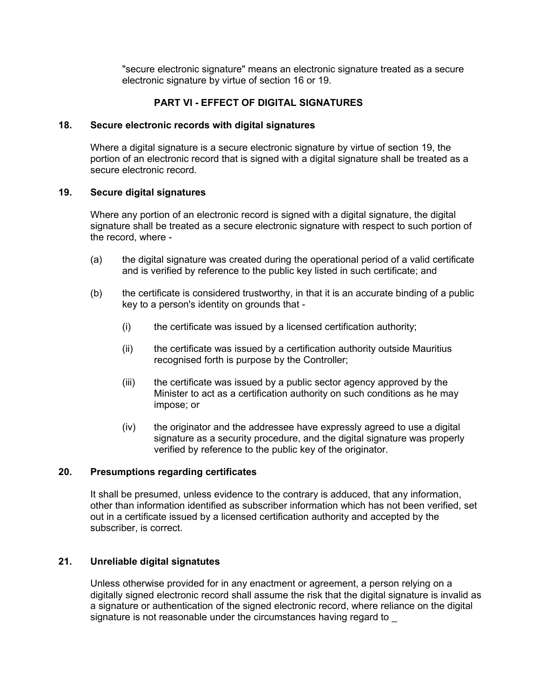"secure electronic signature" means an electronic signature treated as a secure electronic signature by virtue of section 16 or 19.

# **PART VI - EFFECT OF DIGITAL SIGNATURES**

#### **18. Secure electronic records with digital signatures**

<span id="page-13-0"></span>Where a digital signature is a secure electronic signature by virtue of section 19, the portion of an electronic record that is signed with a digital signature shall be treated as a secure electronic record.

#### **19. Secure digital signatures**

<span id="page-13-3"></span>Where any portion of an electronic record is signed with a digital signature, the digital signature shall be treated as a secure electronic signature with respect to such portion of the record, where -

- (a) the digital signature was created during the operational period of a valid certificate and is verified by reference to the public key listed in such certificate; and
- (b) the certificate is considered trustworthy, in that it is an accurate binding of a public key to a person's identity on grounds that -
	- (i) the certificate was issued by a licensed certification authority;
	- (ii) the certificate was issued by a certification authority outside Mauritius recognised forth is purpose by the Controller;
	- (iii) the certificate was issued by a public sector agency approved by the Minister to act as a certification authority on such conditions as he may impose; or
	- (iv) the originator and the addressee have expressly agreed to use a digital signature as a security procedure, and the digital signature was properly verified by reference to the public key of the originator.

# **20. Presumptions regarding certificates**

<span id="page-13-2"></span>It shall be presumed, unless evidence to the contrary is adduced, that any information, other than information identified as subscriber information which has not been verified, set out in a certificate issued by a licensed certification authority and accepted by the subscriber, is correct.

# **21. Unreliable digital signatutes**

<span id="page-13-1"></span>Unless otherwise provided for in any enactment or agreement, a person relying on a digitally signed electronic record shall assume the risk that the digital signature is invalid as a signature or authentication of the signed electronic record, where reliance on the digital signature is not reasonable under the circumstances having regard to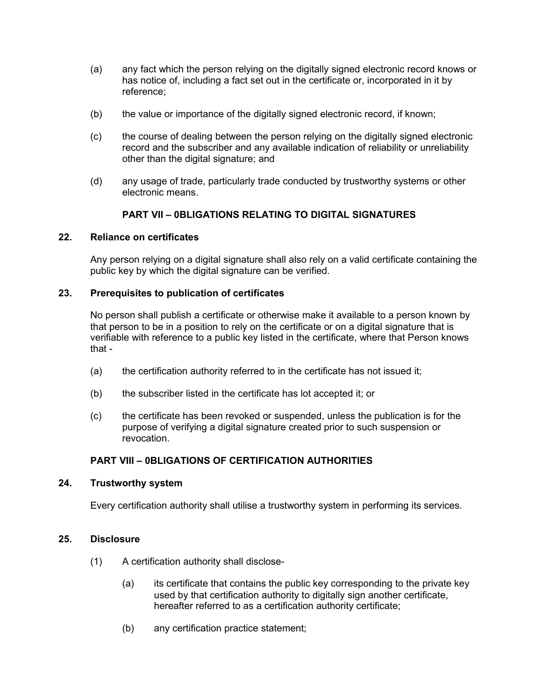- (a) any fact which the person relying on the digitally signed electronic record knows or has notice of, including a fact set out in the certificate or, incorporated in it by reference;
- (b) the value or importance of the digitally signed electronic record, if known;
- (c) the course of dealing between the person relying on the digitally signed electronic record and the subscriber and any available indication of reliability or unreliability other than the digital signature; and
- (d) any usage of trade, particularly trade conducted by trustworthy systems or other electronic means.

# **PART VII – 0BLIGATIONS RELATING TO DIGITAL SIGNATURES**

#### **22. Reliance on certificates**

<span id="page-14-3"></span>Any person relying on a digital signature shall also rely on a valid certificate containing the public key by which the digital signature can be verified.

# **23. Prerequisites to publication of certificates**

<span id="page-14-2"></span>No person shall publish a certificate or otherwise make it available to a person known by that person to be in a position to rely on the certificate or on a digital signature that is verifiable with reference to a public key listed in the certificate, where that Person knows that -

- (a) the certification authority referred to in the certificate has not issued it;
- (b) the subscriber listed in the certificate has lot accepted it; or
- (c) the certificate has been revoked or suspended, unless the publication is for the purpose of verifying a digital signature created prior to such suspension or revocation.

# <span id="page-14-1"></span>**PART VIII – 0BLIGATIONS OF CERTIFICATION AUTHORITIES**

#### **24. Trustworthy system**

Every certification authority shall utilise a trustworthy system in performing its services.

#### **25. Disclosure**

- <span id="page-14-0"></span>(1) A certification authority shall disclose-
	- (a) its certificate that contains the public key corresponding to the private key used by that certification authority to digitally sign another certificate, hereafter referred to as a certification authority certificate;
	- (b) any certification practice statement;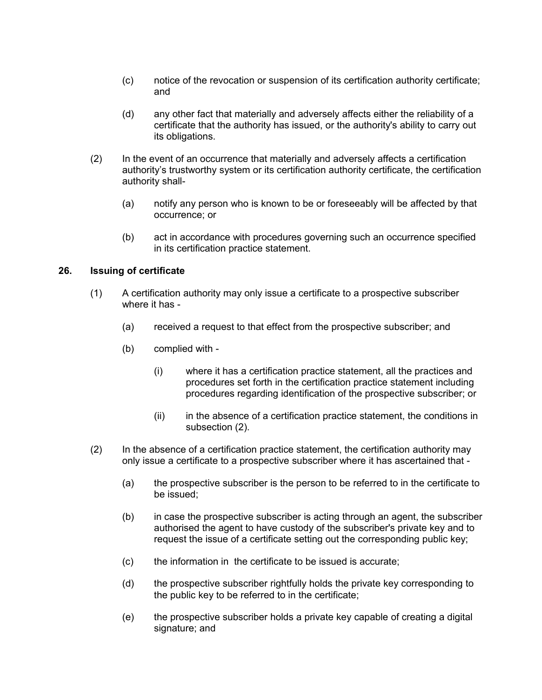- (c) notice of the revocation or suspension of its certification authority certificate; and
- (d) any other fact that materially and adversely affects either the reliability of a certificate that the authority has issued, or the authority's ability to carry out its obligations.
- (2) In the event of an occurrence that materially and adversely affects a certification authority's trustworthy system or its certification authority certificate, the certification authority shall-
	- (a) notify any person who is known to be or foreseeably will be affected by that occurrence; or
	- (b) act in accordance with procedures governing such an occurrence specified in its certification practice statement.

#### **26. Issuing of certificate**

- <span id="page-15-0"></span>(1) A certification authority may only issue a certificate to a prospective subscriber where it has -
	- (a) received a request to that effect from the prospective subscriber; and
	- (b) complied with
		- (i) where it has a certification practice statement, all the practices and procedures set forth in the certification practice statement including procedures regarding identification of the prospective subscriber; or
		- (ii) in the absence of a certification practice statement, the conditions in subsection (2).
- (2) In the absence of a certification practice statement, the certification authority may only issue a certificate to a prospective subscriber where it has ascertained that -
	- (a) the prospective subscriber is the person to be referred to in the certificate to be issued;
	- (b) in case the prospective subscriber is acting through an agent, the subscriber authorised the agent to have custody of the subscriber's private key and to request the issue of a certificate setting out the corresponding public key;
	- (c) the information in the certificate to be issued is accurate;
	- (d) the prospective subscriber rightfully holds the private key corresponding to the public key to be referred to in the certificate;
	- (e) the prospective subscriber holds a private key capable of creating a digital signature; and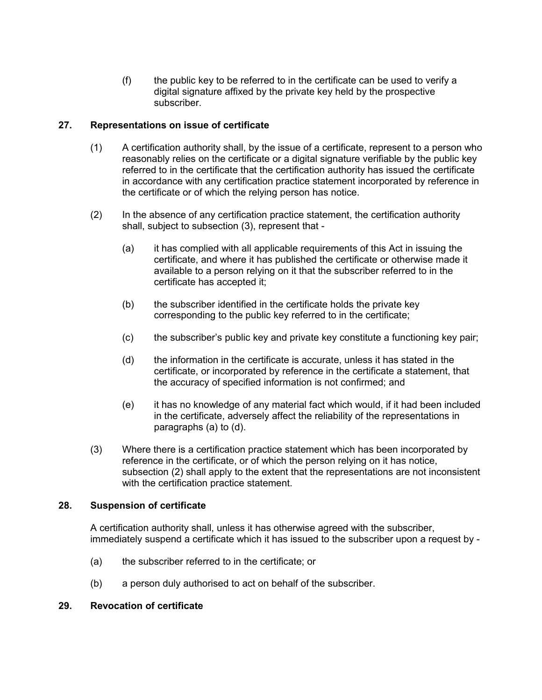(f) the public key to be referred to in the certificate can be used to verify a digital signature affixed by the private key held by the prospective subscriber.

# **27. Representations on issue of certificate**

- <span id="page-16-2"></span>(1) A certification authority shall, by the issue of a certificate, represent to a person who reasonably relies on the certificate or a digital signature verifiable by the public key referred to in the certificate that the certification authority has issued the certificate in accordance with any certification practice statement incorporated by reference in the certificate or of which the relying person has notice.
- (2) In the absence of any certification practice statement, the certification authority shall, subject to subsection (3), represent that -
	- (a) it has complied with all applicable requirements of this Act in issuing the certificate, and where it has published the certificate or otherwise made it available to a person relying on it that the subscriber referred to in the certificate has accepted it;
	- (b) the subscriber identified in the certificate holds the private key corresponding to the public key referred to in the certificate;
	- (c) the subscriber's public key and private key constitute a functioning key pair;
	- (d) the information in the certificate is accurate, unless it has stated in the certificate, or incorporated by reference in the certificate a statement, that the accuracy of specified information is not confirmed; and
	- (e) it has no knowledge of any material fact which would, if it had been included in the certificate, adversely affect the reliability of the representations in paragraphs (a) to (d).
- (3) Where there is a certification practice statement which has been incorporated by reference in the certificate, or of which the person relying on it has notice, subsection (2) shall apply to the extent that the representations are not inconsistent with the certification practice statement.

# **28. Suspension of certificate**

<span id="page-16-1"></span>A certification authority shall, unless it has otherwise agreed with the subscriber, immediately suspend a certificate which it has issued to the subscriber upon a request by -

- (a) the subscriber referred to in the certificate; or
- <span id="page-16-0"></span>(b) a person duly authorised to act on behalf of the subscriber.

# **29. Revocation of certificate**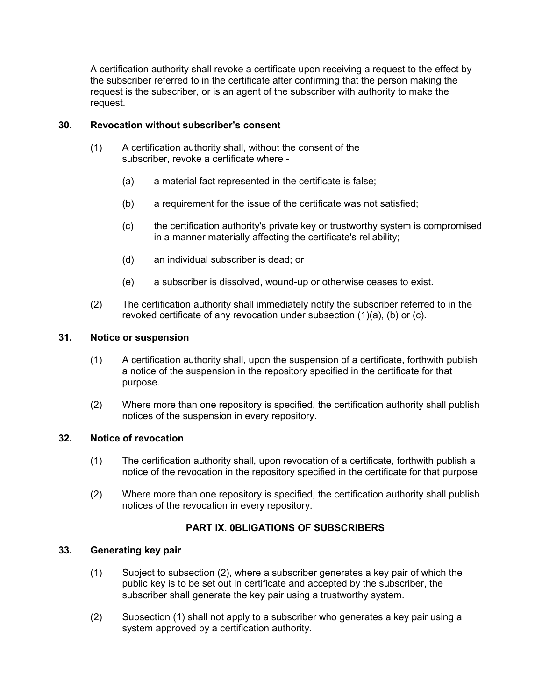A certification authority shall revoke a certificate upon receiving a request to the effect by the subscriber referred to in the certificate after confirming that the person making the request is the subscriber, or is an agent of the subscriber with authority to make the request.

#### **30. Revocation without subscriber's consent**

- <span id="page-17-3"></span>(1) A certification authority shall, without the consent of the subscriber, revoke a certificate where -
	- (a) a material fact represented in the certificate is false;
	- (b) a requirement for the issue of the certificate was not satisfied;
	- (c) the certification authority's private key or trustworthy system is compromised in a manner materially affecting the certificate's reliability;
	- (d) an individual subscriber is dead; or
	- (e) a subscriber is dissolved, wound-up or otherwise ceases to exist.
- (2) The certification authority shall immediately notify the subscriber referred to in the revoked certificate of any revocation under subsection (1)(a), (b) or (c).

#### **31. Notice or suspension**

- <span id="page-17-2"></span>(1) A certification authority shall, upon the suspension of a certificate, forthwith publish a notice of the suspension in the repository specified in the certificate for that purpose.
- (2) Where more than one repository is specified, the certification authority shall publish notices of the suspension in every repository.

#### **32. Notice of revocation**

- <span id="page-17-1"></span>(1) The certification authority shall, upon revocation of a certificate, forthwith publish a notice of the revocation in the repository specified in the certificate for that purpose
- (2) Where more than one repository is specified, the certification authority shall publish notices of the revocation in every repository.

# **PART IX. 0BLIGATIONS OF SUBSCRIBERS**

## **33. Generating key pair**

- <span id="page-17-0"></span>(1) Subject to subsection (2), where a subscriber generates a key pair of which the public key is to be set out in certificate and accepted by the subscriber, the subscriber shall generate the key pair using a trustworthy system.
- (2) Subsection (1) shall not apply to a subscriber who generates a key pair using a system approved by a certification authority.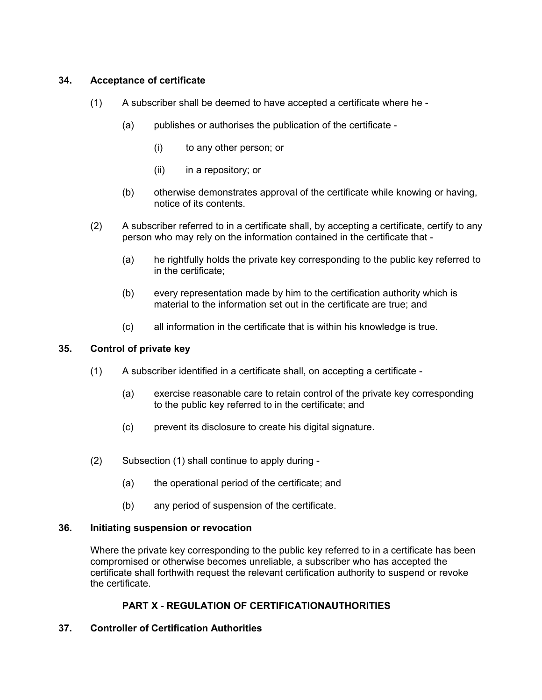# **34. Acceptance of certificate**

- <span id="page-18-3"></span>(1) A subscriber shall be deemed to have accepted a certificate where he -
	- (a) publishes or authorises the publication of the certificate
		- (i) to any other person; or
		- (ii) in a repository; or
	- (b) otherwise demonstrates approval of the certificate while knowing or having, notice of its contents.
- (2) A subscriber referred to in a certificate shall, by accepting a certificate, certify to any person who may rely on the information contained in the certificate that -
	- (a) he rightfully holds the private key corresponding to the public key referred to in the certificate;
	- (b) every representation made by him to the certification authority which is material to the information set out in the certificate are true; and
	- (c) all information in the certificate that is within his knowledge is true.

# **35. Control of private key**

- <span id="page-18-2"></span>(1) A subscriber identified in a certificate shall, on accepting a certificate -
	- (a) exercise reasonable care to retain control of the private key corresponding to the public key referred to in the certificate; and
	- (c) prevent its disclosure to create his digital signature.
- (2) Subsection (1) shall continue to apply during
	- (a) the operational period of the certificate; and
	- (b) any period of suspension of the certificate.

# **36. Initiating suspension or revocation**

<span id="page-18-1"></span>Where the private key corresponding to the public key referred to in a certificate has been compromised or otherwise becomes unreliable, a subscriber who has accepted the certificate shall forthwith request the relevant certification authority to suspend or revoke the certificate.

# **PART X - REGULATION OF CERTIFICATIONAUTHORITIES**

# <span id="page-18-0"></span>**37. Controller of Certification Authorities**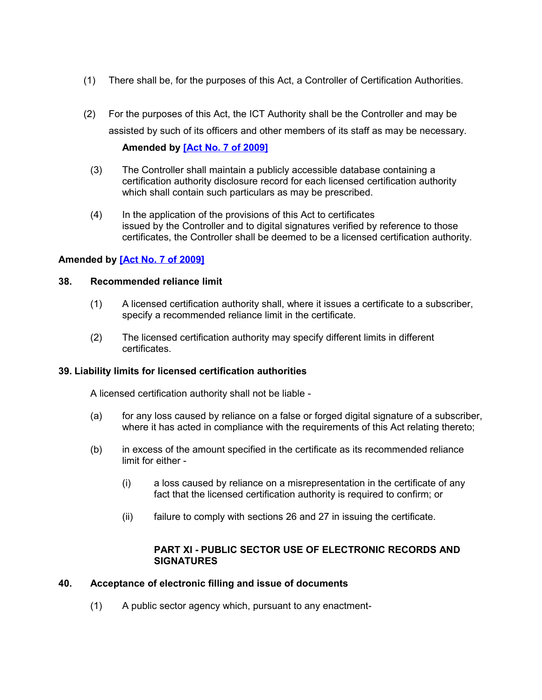- (1) There shall be, for the purposes of this Act, a Controller of Certification Authorities.
- (2) For the purposes of this Act, the ICT Authority shall be the Controller and may be assisted by such of its officers and other members of its staff as may be necessary.

#### **Amended by [Act No. 7 of 2009]**

- (3) The Controller shall maintain a publicly accessible database containing a certification authority disclosure record for each licensed certification authority which shall contain such particulars as may be prescribed.
- (4) In the application of the provisions of this Act to certificates issued by the Controller and to digital signatures verified by reference to those certificates, the Controller shall be deemed to be a licensed certification authority.

# **Amended by [Act No. 7 of 2009]**

#### **38. Recommended reliance limit**

- <span id="page-19-2"></span>(1) A licensed certification authority shall, where it issues a certificate to a subscriber, specify a recommended reliance limit in the certificate.
- (2) The licensed certification authority may specify different limits in different certificates.

# <span id="page-19-1"></span>**39. Liability limits for licensed certification authorities**

A licensed certification authority shall not be liable -

- (a) for any loss caused by reliance on a false or forged digital signature of a subscriber, where it has acted in compliance with the requirements of this Act relating thereto;
- (b) in excess of the amount specified in the certificate as its recommended reliance limit for either -
	- (i) a loss caused by reliance on a misrepresentation in the certificate of any fact that the licensed certification authority is required to confirm; or
	- (ii) failure to comply with sections 26 and 27 in issuing the certificate.

# **PART XI - PUBLIC SECTOR USE OF ELECTRONIC RECORDS AND SIGNATURES**

#### **40. Acceptance of electronic filling and issue of documents**

<span id="page-19-0"></span>(1) A public sector agency which, pursuant to any enactment-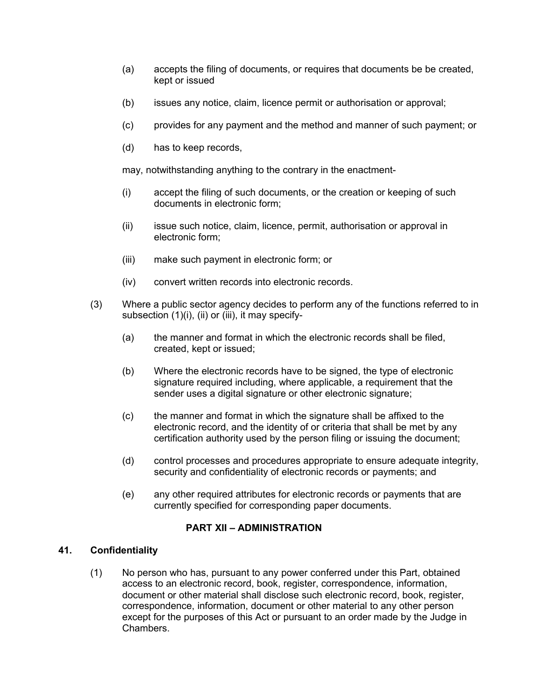- (a) accepts the filing of documents, or requires that documents be be created, kept or issued
- (b) issues any notice, claim, licence permit or authorisation or approval;
- (c) provides for any payment and the method and manner of such payment; or
- (d) has to keep records,

may, notwithstanding anything to the contrary in the enactment-

- (i) accept the filing of such documents, or the creation or keeping of such documents in electronic form;
- (ii) issue such notice, claim, licence, permit, authorisation or approval in electronic form;
- (iii) make such payment in electronic form; or
- (iv) convert written records into electronic records.
- (3) Where a public sector agency decides to perform any of the functions referred to in subsection (1)(i), (ii) or (iii), it may specify-
	- (a) the manner and format in which the electronic records shall be filed, created, kept or issued;
	- (b) Where the electronic records have to be signed, the type of electronic signature required including, where applicable, a requirement that the sender uses a digital signature or other electronic signature;
	- (c) the manner and format in which the signature shall be affixed to the electronic record, and the identity of or criteria that shall be met by any certification authority used by the person filing or issuing the document;
	- (d) control processes and procedures appropriate to ensure adequate integrity, security and confidentiality of electronic records or payments; and
	- (e) any other required attributes for electronic records or payments that are currently specified for corresponding paper documents.

# **PART XII – ADMINISTRATION**

#### **41. Confidentiality**

<span id="page-20-0"></span>(1) No person who has, pursuant to any power conferred under this Part, obtained access to an electronic record, book, register, correspondence, information, document or other material shall disclose such electronic record, book, register, correspondence, information, document or other material to any other person except for the purposes of this Act or pursuant to an order made by the Judge in Chambers.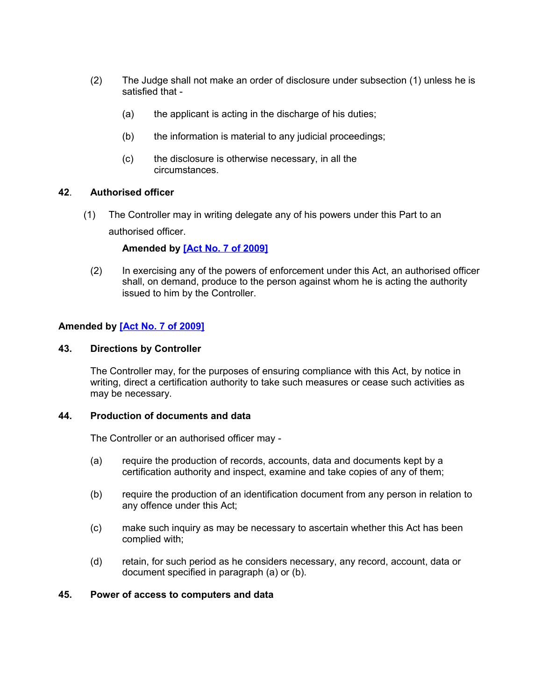- (2) The Judge shall not make an order of disclosure under subsection (1) unless he is satisfied that -
	- (a) the applicant is acting in the discharge of his duties;
	- (b) the information is material to any judicial proceedings;
	- (c) the disclosure is otherwise necessary, in all the circumstances.

#### **42**. **Authorised officer**

<span id="page-21-3"></span>(1) The Controller may in writing delegate any of his powers under this Part to an authorised officer.

#### **Amended by [Act No. 7 of 2009]**

(2) In exercising any of the powers of enforcement under this Act, an authorised officer shall, on demand, produce to the person against whom he is acting the authority issued to him by the Controller.

#### **Amended by [Act No. 7 of 2009]**

#### **43. Directions by Controller**

<span id="page-21-2"></span>The Controller may, for the purposes of ensuring compliance with this Act, by notice in writing, direct a certification authority to take such measures or cease such activities as may be necessary.

#### **44. Production of documents and data**

<span id="page-21-1"></span>The Controller or an authorised officer may -

- (a) require the production of records, accounts, data and documents kept by a certification authority and inspect, examine and take copies of any of them;
- (b) require the production of an identification document from any person in relation to any offence under this Act;
- (c) make such inquiry as may be necessary to ascertain whether this Act has been complied with;
- (d) retain, for such period as he considers necessary, any record, account, data or document specified in paragraph (a) or (b).

#### <span id="page-21-0"></span>**45. Power of access to computers and data**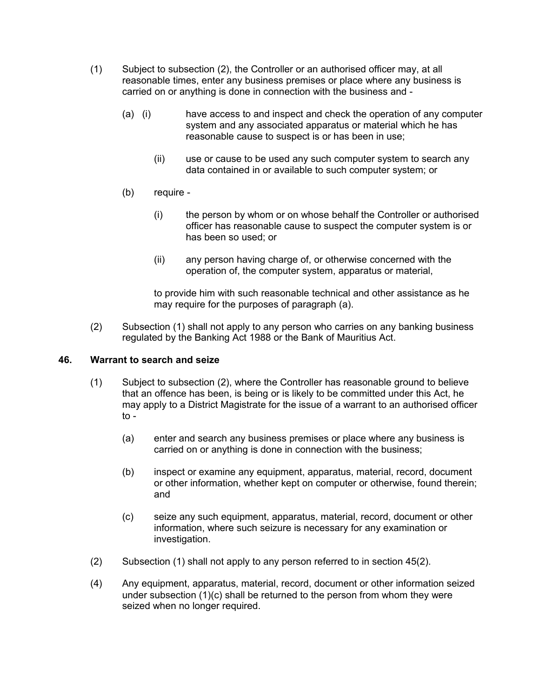- (1) Subject to subsection (2), the Controller or an authorised officer may, at all reasonable times, enter any business premises or place where any business is carried on or anything is done in connection with the business and -
	- (a) (i) have access to and inspect and check the operation of any computer system and any associated apparatus or material which he has reasonable cause to suspect is or has been in use;
		- (ii) use or cause to be used any such computer system to search any data contained in or available to such computer system; or
	- (b) require
		- (i) the person by whom or on whose behalf the Controller or authorised officer has reasonable cause to suspect the computer system is or has been so used; or
		- (ii) any person having charge of, or otherwise concerned with the operation of, the computer system, apparatus or material,

to provide him with such reasonable technical and other assistance as he may require for the purposes of paragraph (a).

(2) Subsection (1) shall not apply to any person who carries on any banking business regulated by the Banking Act 1988 or the Bank of Mauritius Act.

# **46. Warrant to search and seize**

- <span id="page-22-0"></span>(1) Subject to subsection (2), where the Controller has reasonable ground to believe that an offence has been, is being or is likely to be committed under this Act, he may apply to a District Magistrate for the issue of a warrant to an authorised officer to -
	- (a) enter and search any business premises or place where any business is carried on or anything is done in connection with the business;
	- (b) inspect or examine any equipment, apparatus, material, record, document or other information, whether kept on computer or otherwise, found therein; and
	- (c) seize any such equipment, apparatus, material, record, document or other information, where such seizure is necessary for any examination or investigation.
- (2) Subsection (1) shall not apply to any person referred to in section 45(2).
- (4) Any equipment, apparatus, material, record, document or other information seized under subsection (1)(c) shall be returned to the person from whom they were seized when no longer required.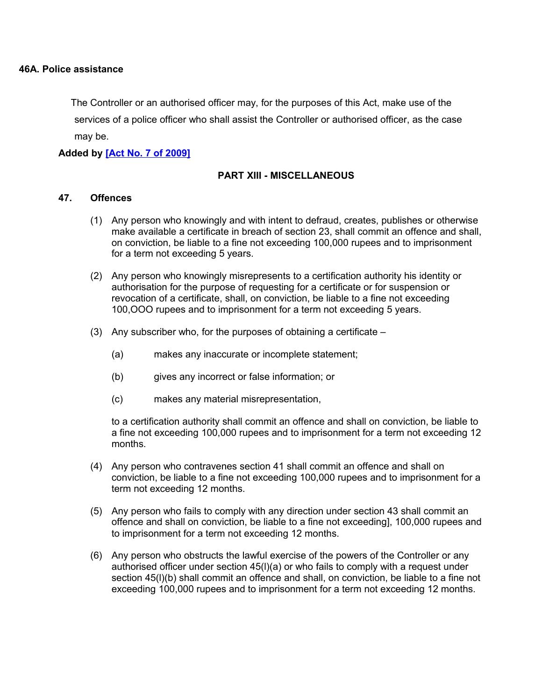<span id="page-23-0"></span>The Controller or an authorised officer may, for the purposes of this Act, make use of the services of a police officer who shall assist the Controller or authorised officer, as the case may be.

# **Added by [Act No. 7 of 2009]**

#### **PART XIII - MISCELLANEOUS**

#### **47. Offences**

- <span id="page-23-1"></span>(1) Any person who knowingly and with intent to defraud, creates, publishes or otherwise make available a certificate in breach of section 23, shall commit an offence and shall, on conviction, be liable to a fine not exceeding 100,000 rupees and to imprisonment for a term not exceeding 5 years.
- (2) Any person who knowingly misrepresents to a certification authority his identity or authorisation for the purpose of requesting for a certificate or for suspension or revocation of a certificate, shall, on conviction, be liable to a fine not exceeding 100,OOO rupees and to imprisonment for a term not exceeding 5 years.
- (3) Any subscriber who, for the purposes of obtaining a certificate
	- (a) makes any inaccurate or incomplete statement;
	- (b) gives any incorrect or false information; or
	- (c) makes any material misrepresentation,

to a certification authority shall commit an offence and shall on conviction, be liable to a fine not exceeding 100,000 rupees and to imprisonment for a term not exceeding 12 months.

- (4) Any person who contravenes section 41 shall commit an offence and shall on conviction, be liable to a fine not exceeding 100,000 rupees and to imprisonment for a term not exceeding 12 months.
- (5) Any person who fails to comply with any direction under section 43 shall commit an offence and shall on conviction, be liable to a fine not exceeding], 100,000 rupees and to imprisonment for a term not exceeding 12 months.
- (6) Any person who obstructs the lawful exercise of the powers of the Controller or any authorised officer under section 45(l)(a) or who fails to comply with a request under section 45(l)(b) shall commit an offence and shall, on conviction, be liable to a fine not exceeding 100,000 rupees and to imprisonment for a term not exceeding 12 months.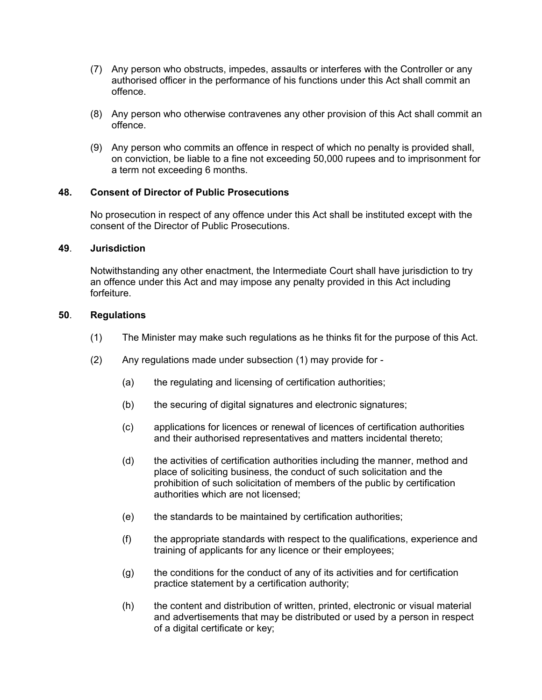- (7) Any person who obstructs, impedes, assaults or interferes with the Controller or any authorised officer in the performance of his functions under this Act shall commit an offence.
- (8) Any person who otherwise contravenes any other provision of this Act shall commit an offence.
- (9) Any person who commits an offence in respect of which no penalty is provided shall, on conviction, be liable to a fine not exceeding 50,000 rupees and to imprisonment for a term not exceeding 6 months.

# **48. Consent of Director of Public Prosecutions**

<span id="page-24-2"></span>No prosecution in respect of any offence under this Act shall be instituted except with the consent of the Director of Public Prosecutions.

## **49**. **Jurisdiction**

<span id="page-24-1"></span>Notwithstanding any other enactment, the Intermediate Court shall have jurisdiction to try an offence under this Act and may impose any penalty provided in this Act including forfeiture.

#### **50**. **Regulations**

- <span id="page-24-0"></span>(1) The Minister may make such regulations as he thinks fit for the purpose of this Act.
- (2) Any regulations made under subsection (1) may provide for
	- (a) the regulating and licensing of certification authorities;
	- (b) the securing of digital signatures and electronic signatures;
	- (c) applications for licences or renewal of licences of certification authorities and their authorised representatives and matters incidental thereto;
	- (d) the activities of certification authorities including the manner, method and place of soliciting business, the conduct of such solicitation and the prohibition of such solicitation of members of the public by certification authorities which are not licensed;
	- (e) the standards to be maintained by certification authorities;
	- (f) the appropriate standards with respect to the qualifications, experience and training of applicants for any licence or their employees;
	- (g) the conditions for the conduct of any of its activities and for certification practice statement by a certification authority;
	- (h) the content and distribution of written, printed, electronic or visual material and advertisements that may be distributed or used by a person in respect of a digital certificate or key;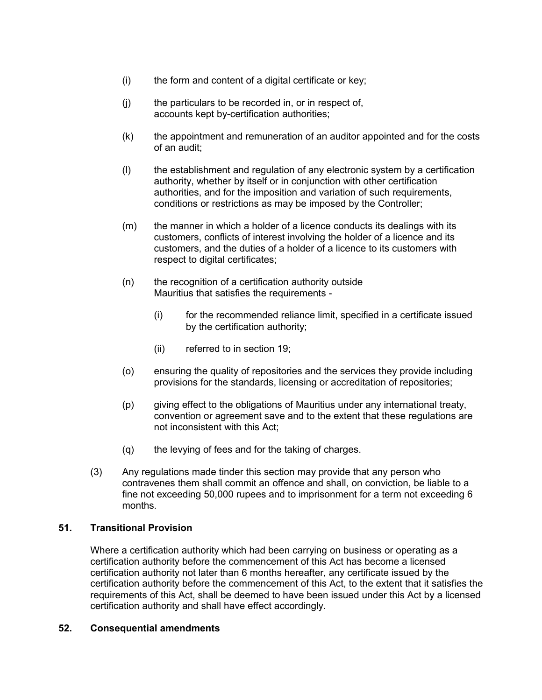- (i) the form and content of a digital certificate or key;
- (j) the particulars to be recorded in, or in respect of, accounts kept by-certification authorities;
- (k) the appointment and remuneration of an auditor appointed and for the costs of an audit;
- (l) the establishment and regulation of any electronic system by a certification authority, whether by itself or in conjunction with other certification authorities, and for the imposition and variation of such requirements, conditions or restrictions as may be imposed by the Controller;
- (m) the manner in which a holder of a licence conducts its dealings with its customers, conflicts of interest involving the holder of a licence and its customers, and the duties of a holder of a licence to its customers with respect to digital certificates;
- (n) the recognition of a certification authority outside Mauritius that satisfies the requirements -
	- (i) for the recommended reliance limit, specified in a certificate issued by the certification authority;
	- (ii) referred to in section 19;
- (o) ensuring the quality of repositories and the services they provide including provisions for the standards, licensing or accreditation of repositories;
- (p) giving effect to the obligations of Mauritius under any international treaty, convention or agreement save and to the extent that these regulations are not inconsistent with this Act;
- (q) the levying of fees and for the taking of charges.
- (3) Any regulations made tinder this section may provide that any person who contravenes them shall commit an offence and shall, on conviction, be liable to a fine not exceeding 50,000 rupees and to imprisonment for a term not exceeding 6 months.

# **51. Transitional Provision**

<span id="page-25-1"></span>Where a certification authority which had been carrying on business or operating as a certification authority before the commencement of this Act has become a licensed certification authority not later than 6 months hereafter, any certificate issued by the certification authority before the commencement of this Act, to the extent that it satisfies the requirements of this Act, shall be deemed to have been issued under this Act by a licensed certification authority and shall have effect accordingly.

#### <span id="page-25-0"></span>**52. Consequential amendments**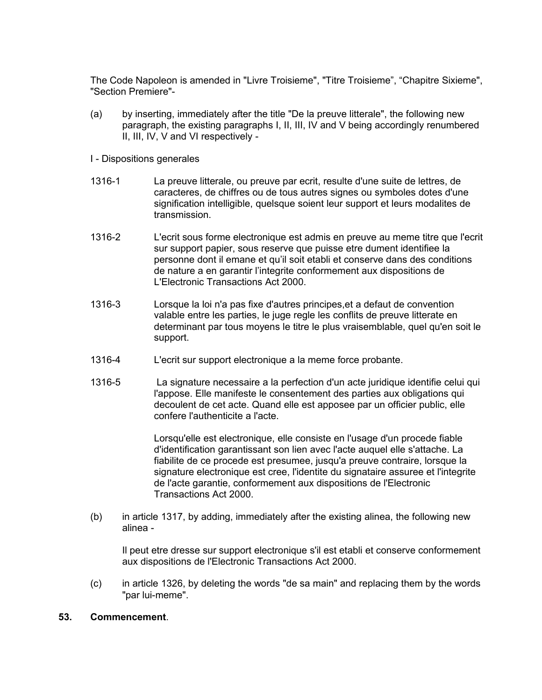The Code Napoleon is amended in "Livre Troisieme", "Titre Troisieme", "Chapitre Sixieme", "Section Premiere"-

- (a) by inserting, immediately after the title "De la preuve litterale", the following new paragraph, the existing paragraphs I, II, III, IV and V being accordingly renumbered II, III, IV, V and VI respectively -
- I Dispositions generales
- 1316-1 La preuve litterale, ou preuve par ecrit, resulte d'une suite de lettres, de caracteres, de chiffres ou de tous autres signes ou symboles dotes d'une signification intelligible, quelsque soient leur support et leurs modalites de transmission.
- 1316-2 L'ecrit sous forme electronique est admis en preuve au meme titre que l'ecrit sur support papier, sous reserve que puisse etre dument identifiee la personne dont il emane et qu'il soit etabli et conserve dans des conditions de nature a en garantir l'integrite conformement aux dispositions de L'Electronic Transactions Act 2000.
- 1316-3 Lorsque la loi n'a pas fixe d'autres principes,et a defaut de convention valable entre les parties, le juge regle les conflits de preuve litterate en determinant par tous moyens le titre le plus vraisemblable, quel qu'en soit le support.
- 1316-4 L'ecrit sur support electronique a la meme force probante.
- 1316-5 La signature necessaire a la perfection d'un acte juridique identifie celui qui l'appose. Elle manifeste le consentement des parties aux obligations qui decoulent de cet acte. Quand elle est apposee par un officier public, elle confere l'authenticite a l'acte.

Lorsqu'elle est electronique, elle consiste en l'usage d'un procede fiable d'identification garantissant son lien avec l'acte auquel elle s'attache. La fiabilite de ce procede est presumee, jusqu'a preuve contraire, lorsque la signature electronique est cree, l'identite du signataire assuree et l'integrite de l'acte garantie, conformement aux dispositions de l'Electronic Transactions Act 2000.

(b) in article 1317, by adding, immediately after the existing alinea, the following new alinea -

Il peut etre dresse sur support electronique s'il est etabli et conserve conformement aux dispositions de l'Electronic Transactions Act 2000.

(c) in article 1326, by deleting the words "de sa main" and replacing them by the words "par lui-meme".

#### <span id="page-26-0"></span>**53. Commencement**.